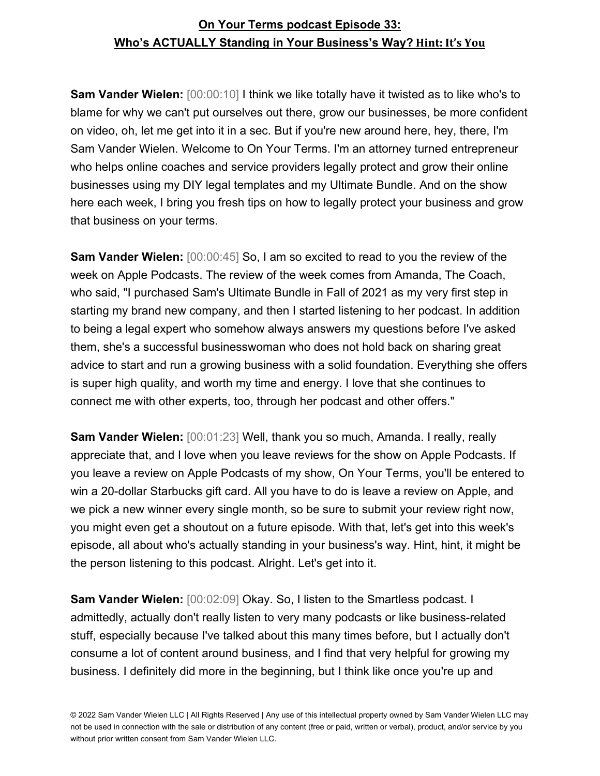**Sam Vander Wielen:**  $[00:00:10]$  I think we like totally have it twisted as to like who's to blame for why we can't put ourselves out there, grow our businesses, be more confident on video, oh, let me get into it in a sec. But if you're new around here, hey, there, I'm Sam Vander Wielen. Welcome to On Your Terms. I'm an attorney turned entrepreneur who helps online coaches and service providers legally protect and grow their online businesses using my DIY legal templates and my Ultimate Bundle. And on the show here each week, I bring you fresh tips on how to legally protect your business and grow that business on your terms.

**Sam Vander Wielen:** [00:00:45] So, I am so excited to read to you the review of the week on Apple Podcasts. The review of the week comes from Amanda, The Coach, who said, "I purchased Sam's Ultimate Bundle in Fall of 2021 as my very first step in starting my brand new company, and then I started listening to her podcast. In addition to being a legal expert who somehow always answers my questions before I've asked them, she's a successful businesswoman who does not hold back on sharing great advice to start and run a growing business with a solid foundation. Everything she offers is super high quality, and worth my time and energy. I love that she continues to connect me with other experts, too, through her podcast and other offers."

**Sam Vander Wielen:** [00:01:23] Well, thank you so much, Amanda. I really, really appreciate that, and I love when you leave reviews for the show on Apple Podcasts. If you leave a review on Apple Podcasts of my show, On Your Terms, you'll be entered to win a 20-dollar Starbucks gift card. All you have to do is leave a review on Apple, and we pick a new winner every single month, so be sure to submit your review right now, you might even get a shoutout on a future episode. With that, let's get into this week's episode, all about who's actually standing in your business's way. Hint, hint, it might be the person listening to this podcast. Alright. Let's get into it.

**Sam Vander Wielen:** [00:02:09] Okay. So, I listen to the Smartless podcast. I admittedly, actually don't really listen to very many podcasts or like business-related stuff, especially because I've talked about this many times before, but I actually don't consume a lot of content around business, and I find that very helpful for growing my business. I definitely did more in the beginning, but I think like once you're up and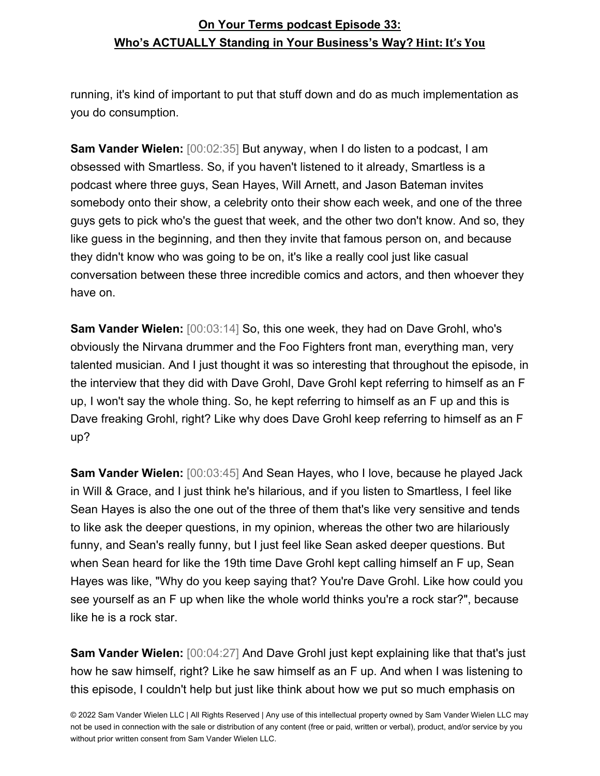running, it's kind of important to put that stuff down and do as much implementation as you do consumption.

**Sam Vander Wielen:** [00:02:35] But anyway, when I do listen to a podcast, I am obsessed with Smartless. So, if you haven't listened to it already, Smartless is a podcast where three guys, Sean Hayes, Will Arnett, and Jason Bateman invites somebody onto their show, a celebrity onto their show each week, and one of the three guys gets to pick who's the guest that week, and the other two don't know. And so, they like guess in the beginning, and then they invite that famous person on, and because they didn't know who was going to be on, it's like a really cool just like casual conversation between these three incredible comics and actors, and then whoever they have on.

**Sam Vander Wielen:** [00:03:14] So, this one week, they had on Dave Grohl, who's obviously the Nirvana drummer and the Foo Fighters front man, everything man, very talented musician. And I just thought it was so interesting that throughout the episode, in the interview that they did with Dave Grohl, Dave Grohl kept referring to himself as an F up, I won't say the whole thing. So, he kept referring to himself as an F up and this is Dave freaking Grohl, right? Like why does Dave Grohl keep referring to himself as an F up?

**Sam Vander Wielen:** [00:03:45] And Sean Hayes, who I love, because he played Jack in Will & Grace, and I just think he's hilarious, and if you listen to Smartless, I feel like Sean Hayes is also the one out of the three of them that's like very sensitive and tends to like ask the deeper questions, in my opinion, whereas the other two are hilariously funny, and Sean's really funny, but I just feel like Sean asked deeper questions. But when Sean heard for like the 19th time Dave Grohl kept calling himself an F up, Sean Hayes was like, "Why do you keep saying that? You're Dave Grohl. Like how could you see yourself as an F up when like the whole world thinks you're a rock star?", because like he is a rock star.

**Sam Vander Wielen:** [00:04:27] And Dave Grohl just kept explaining like that that's just how he saw himself, right? Like he saw himself as an F up. And when I was listening to this episode, I couldn't help but just like think about how we put so much emphasis on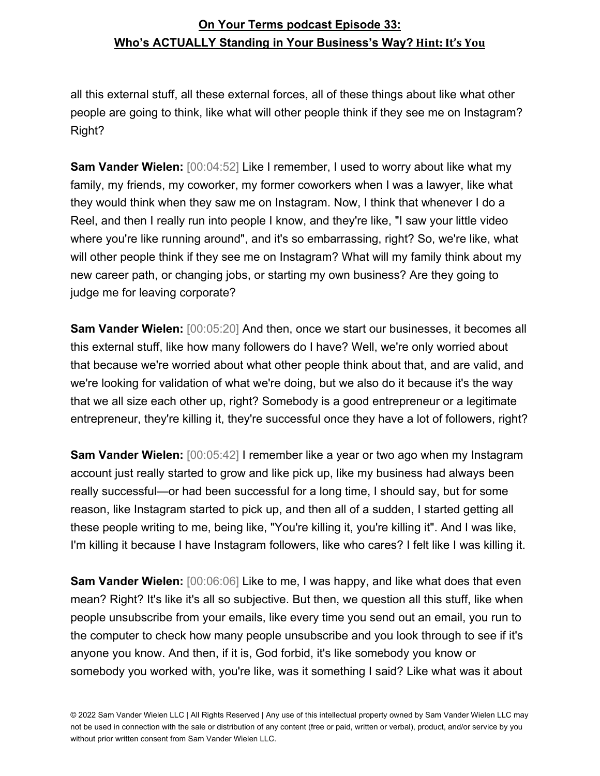all this external stuff, all these external forces, all of these things about like what other people are going to think, like what will other people think if they see me on Instagram? Right?

**Sam Vander Wielen:** [00:04:52] Like I remember, I used to worry about like what my family, my friends, my coworker, my former coworkers when I was a lawyer, like what they would think when they saw me on Instagram. Now, I think that whenever I do a Reel, and then I really run into people I know, and they're like, "I saw your little video where you're like running around", and it's so embarrassing, right? So, we're like, what will other people think if they see me on Instagram? What will my family think about my new career path, or changing jobs, or starting my own business? Are they going to judge me for leaving corporate?

**Sam Vander Wielen:** [00:05:20] And then, once we start our businesses, it becomes all this external stuff, like how many followers do I have? Well, we're only worried about that because we're worried about what other people think about that, and are valid, and we're looking for validation of what we're doing, but we also do it because it's the way that we all size each other up, right? Somebody is a good entrepreneur or a legitimate entrepreneur, they're killing it, they're successful once they have a lot of followers, right?

**Sam Vander Wielen:** [00:05:42] I remember like a year or two ago when my Instagram account just really started to grow and like pick up, like my business had always been really successful—or had been successful for a long time, I should say, but for some reason, like Instagram started to pick up, and then all of a sudden, I started getting all these people writing to me, being like, "You're killing it, you're killing it". And I was like, I'm killing it because I have Instagram followers, like who cares? I felt like I was killing it.

**Sam Vander Wielen:** [00:06:06] Like to me, I was happy, and like what does that even mean? Right? It's like it's all so subjective. But then, we question all this stuff, like when people unsubscribe from your emails, like every time you send out an email, you run to the computer to check how many people unsubscribe and you look through to see if it's anyone you know. And then, if it is, God forbid, it's like somebody you know or somebody you worked with, you're like, was it something I said? Like what was it about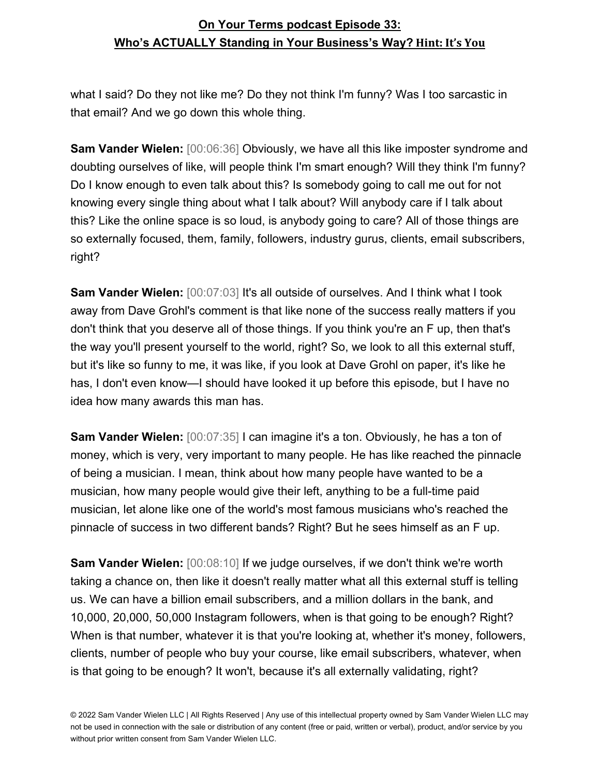what I said? Do they not like me? Do they not think I'm funny? Was I too sarcastic in that email? And we go down this whole thing.

**Sam Vander Wielen:** [00:06:36] Obviously, we have all this like imposter syndrome and doubting ourselves of like, will people think I'm smart enough? Will they think I'm funny? Do I know enough to even talk about this? Is somebody going to call me out for not knowing every single thing about what I talk about? Will anybody care if I talk about this? Like the online space is so loud, is anybody going to care? All of those things are so externally focused, them, family, followers, industry gurus, clients, email subscribers, right?

**Sam Vander Wielen:**  $[00:07:03]$  It's all outside of ourselves. And I think what I took away from Dave Grohl's comment is that like none of the success really matters if you don't think that you deserve all of those things. If you think you're an F up, then that's the way you'll present yourself to the world, right? So, we look to all this external stuff, but it's like so funny to me, it was like, if you look at Dave Grohl on paper, it's like he has, I don't even know—I should have looked it up before this episode, but I have no idea how many awards this man has.

**Sam Vander Wielen:** [00:07:35] I can imagine it's a ton. Obviously, he has a ton of money, which is very, very important to many people. He has like reached the pinnacle of being a musician. I mean, think about how many people have wanted to be a musician, how many people would give their left, anything to be a full-time paid musician, let alone like one of the world's most famous musicians who's reached the pinnacle of success in two different bands? Right? But he sees himself as an F up.

**Sam Vander Wielen:** [00:08:10] If we judge ourselves, if we don't think we're worth taking a chance on, then like it doesn't really matter what all this external stuff is telling us. We can have a billion email subscribers, and a million dollars in the bank, and 10,000, 20,000, 50,000 Instagram followers, when is that going to be enough? Right? When is that number, whatever it is that you're looking at, whether it's money, followers, clients, number of people who buy your course, like email subscribers, whatever, when is that going to be enough? It won't, because it's all externally validating, right?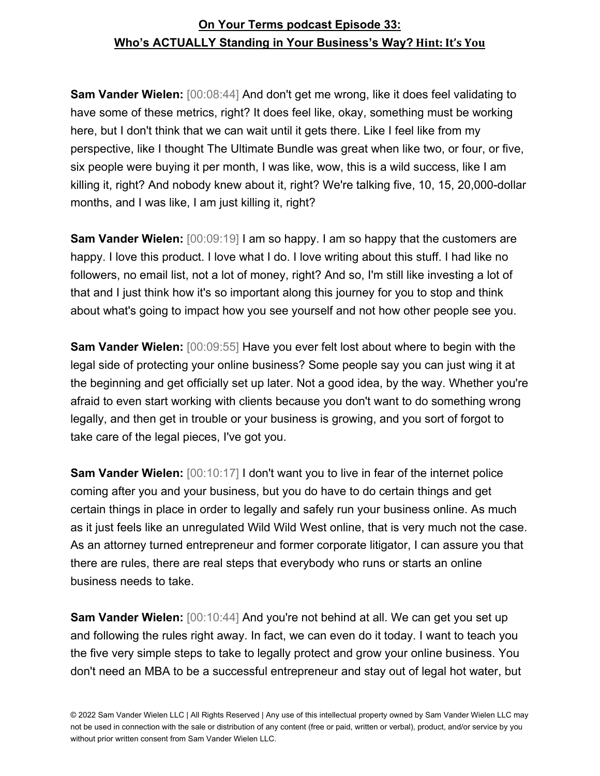**Sam Vander Wielen:** [00:08:44] And don't get me wrong, like it does feel validating to have some of these metrics, right? It does feel like, okay, something must be working here, but I don't think that we can wait until it gets there. Like I feel like from my perspective, like I thought The Ultimate Bundle was great when like two, or four, or five, six people were buying it per month, I was like, wow, this is a wild success, like I am killing it, right? And nobody knew about it, right? We're talking five, 10, 15, 20,000-dollar months, and I was like, I am just killing it, right?

**Sam Vander Wielen:** [00:09:19] I am so happy. I am so happy that the customers are happy. I love this product. I love what I do. I love writing about this stuff. I had like no followers, no email list, not a lot of money, right? And so, I'm still like investing a lot of that and I just think how it's so important along this journey for you to stop and think about what's going to impact how you see yourself and not how other people see you.

**Sam Vander Wielen:** [00:09:55] Have you ever felt lost about where to begin with the legal side of protecting your online business? Some people say you can just wing it at the beginning and get officially set up later. Not a good idea, by the way. Whether you're afraid to even start working with clients because you don't want to do something wrong legally, and then get in trouble or your business is growing, and you sort of forgot to take care of the legal pieces, I've got you.

**Sam Vander Wielen:** [00:10:17] I don't want you to live in fear of the internet police coming after you and your business, but you do have to do certain things and get certain things in place in order to legally and safely run your business online. As much as it just feels like an unregulated Wild Wild West online, that is very much not the case. As an attorney turned entrepreneur and former corporate litigator, I can assure you that there are rules, there are real steps that everybody who runs or starts an online business needs to take.

**Sam Vander Wielen:** [00:10:44] And you're not behind at all. We can get you set up and following the rules right away. In fact, we can even do it today. I want to teach you the five very simple steps to take to legally protect and grow your online business. You don't need an MBA to be a successful entrepreneur and stay out of legal hot water, but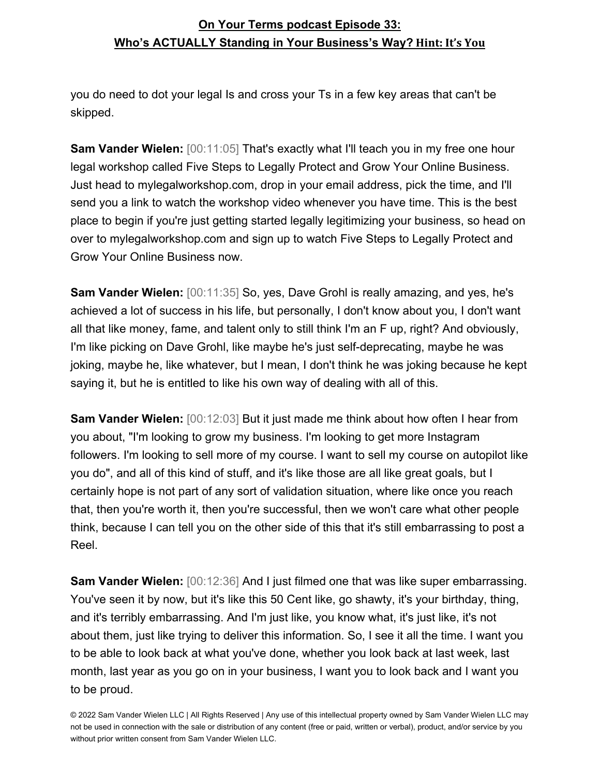you do need to dot your legal Is and cross your Ts in a few key areas that can't be skipped.

**Sam Vander Wielen:** [00:11:05] That's exactly what I'll teach you in my free one hour legal workshop called Five Steps to Legally Protect and Grow Your Online Business. Just head to mylegalworkshop.com, drop in your email address, pick the time, and I'll send you a link to watch the workshop video whenever you have time. This is the best place to begin if you're just getting started legally legitimizing your business, so head on over to mylegalworkshop.com and sign up to watch Five Steps to Legally Protect and Grow Your Online Business now.

**Sam Vander Wielen:** [00:11:35] So, yes, Dave Grohl is really amazing, and yes, he's achieved a lot of success in his life, but personally, I don't know about you, I don't want all that like money, fame, and talent only to still think I'm an F up, right? And obviously, I'm like picking on Dave Grohl, like maybe he's just self-deprecating, maybe he was joking, maybe he, like whatever, but I mean, I don't think he was joking because he kept saying it, but he is entitled to like his own way of dealing with all of this.

**Sam Vander Wielen:** [00:12:03] But it just made me think about how often I hear from you about, "I'm looking to grow my business. I'm looking to get more Instagram followers. I'm looking to sell more of my course. I want to sell my course on autopilot like you do", and all of this kind of stuff, and it's like those are all like great goals, but I certainly hope is not part of any sort of validation situation, where like once you reach that, then you're worth it, then you're successful, then we won't care what other people think, because I can tell you on the other side of this that it's still embarrassing to post a Reel.

**Sam Vander Wielen:** [00:12:36] And I just filmed one that was like super embarrassing. You've seen it by now, but it's like this 50 Cent like, go shawty, it's your birthday, thing, and it's terribly embarrassing. And I'm just like, you know what, it's just like, it's not about them, just like trying to deliver this information. So, I see it all the time. I want you to be able to look back at what you've done, whether you look back at last week, last month, last year as you go on in your business, I want you to look back and I want you to be proud.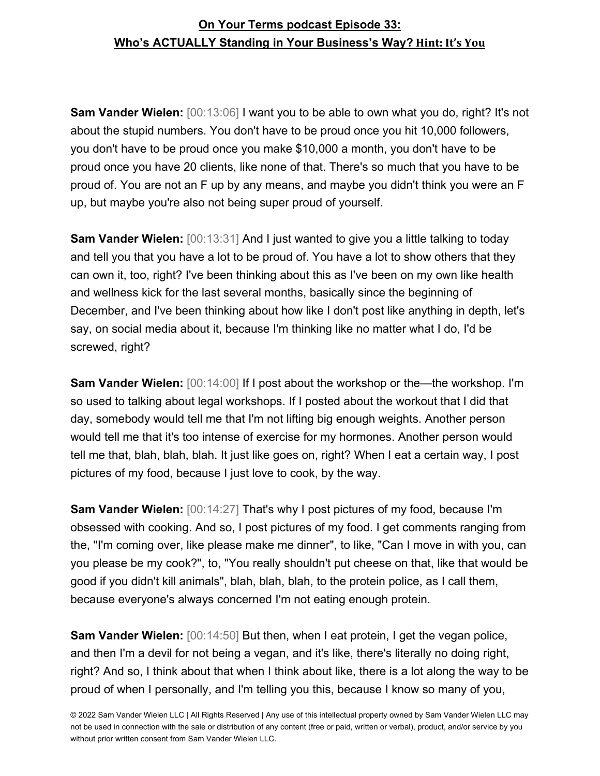**Sam Vander Wielen:** [00:13:06] I want you to be able to own what you do, right? It's not about the stupid numbers. You don't have to be proud once you hit 10,000 followers, you don't have to be proud once you make \$10,000 a month, you don't have to be proud once you have 20 clients, like none of that. There's so much that you have to be proud of. You are not an F up by any means, and maybe you didn't think you were an F up, but maybe you're also not being super proud of yourself.

**Sam Vander Wielen:** [00:13:31] And I just wanted to give you a little talking to today and tell you that you have a lot to be proud of. You have a lot to show others that they can own it, too, right? I've been thinking about this as I've been on my own like health and wellness kick for the last several months, basically since the beginning of December, and I've been thinking about how like I don't post like anything in depth, let's say, on social media about it, because I'm thinking like no matter what I do, I'd be screwed, right?

**Sam Vander Wielen:** [00:14:00] If I post about the workshop or the—the workshop. I'm so used to talking about legal workshops. If I posted about the workout that I did that day, somebody would tell me that I'm not lifting big enough weights. Another person would tell me that it's too intense of exercise for my hormones. Another person would tell me that, blah, blah, blah. It just like goes on, right? When I eat a certain way, I post pictures of my food, because I just love to cook, by the way.

**Sam Vander Wielen:** [00:14:27] That's why I post pictures of my food, because I'm obsessed with cooking. And so, I post pictures of my food. I get comments ranging from the, "I'm coming over, like please make me dinner", to like, "Can I move in with you, can you please be my cook?", to, "You really shouldn't put cheese on that, like that would be good if you didn't kill animals", blah, blah, blah, to the protein police, as I call them, because everyone's always concerned I'm not eating enough protein.

**Sam Vander Wielen:** [00:14:50] But then, when I eat protein, I get the vegan police, and then I'm a devil for not being a vegan, and it's like, there's literally no doing right, right? And so, I think about that when I think about like, there is a lot along the way to be proud of when I personally, and I'm telling you this, because I know so many of you,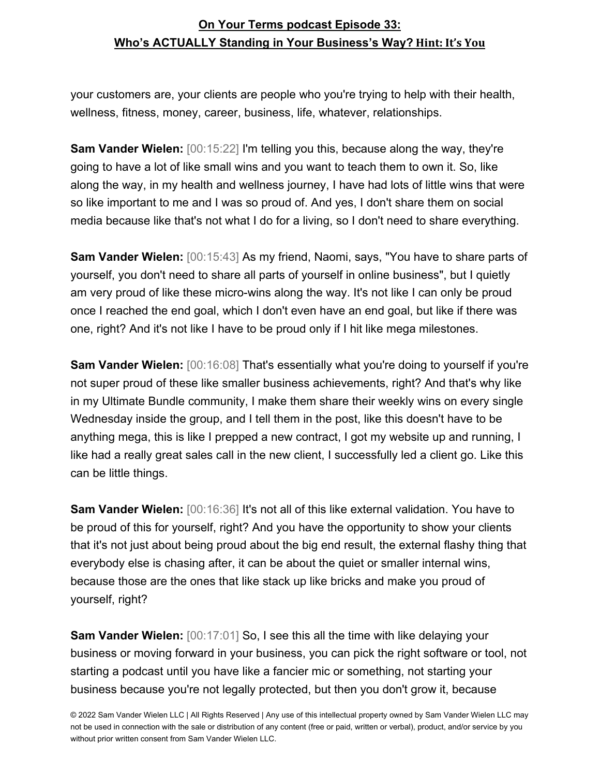your customers are, your clients are people who you're trying to help with their health, wellness, fitness, money, career, business, life, whatever, relationships.

**Sam Vander Wielen:** [00:15:22] I'm telling you this, because along the way, they're going to have a lot of like small wins and you want to teach them to own it. So, like along the way, in my health and wellness journey, I have had lots of little wins that were so like important to me and I was so proud of. And yes, I don't share them on social media because like that's not what I do for a living, so I don't need to share everything.

**Sam Vander Wielen:** [00:15:43] As my friend, Naomi, says, "You have to share parts of yourself, you don't need to share all parts of yourself in online business", but I quietly am very proud of like these micro-wins along the way. It's not like I can only be proud once I reached the end goal, which I don't even have an end goal, but like if there was one, right? And it's not like I have to be proud only if I hit like mega milestones.

**Sam Vander Wielen:** [00:16:08] That's essentially what you're doing to yourself if you're not super proud of these like smaller business achievements, right? And that's why like in my Ultimate Bundle community, I make them share their weekly wins on every single Wednesday inside the group, and I tell them in the post, like this doesn't have to be anything mega, this is like I prepped a new contract, I got my website up and running, I like had a really great sales call in the new client, I successfully led a client go. Like this can be little things.

**Sam Vander Wielen:** [00:16:36] It's not all of this like external validation. You have to be proud of this for yourself, right? And you have the opportunity to show your clients that it's not just about being proud about the big end result, the external flashy thing that everybody else is chasing after, it can be about the quiet or smaller internal wins, because those are the ones that like stack up like bricks and make you proud of yourself, right?

**Sam Vander Wielen:** [00:17:01] So, I see this all the time with like delaying your business or moving forward in your business, you can pick the right software or tool, not starting a podcast until you have like a fancier mic or something, not starting your business because you're not legally protected, but then you don't grow it, because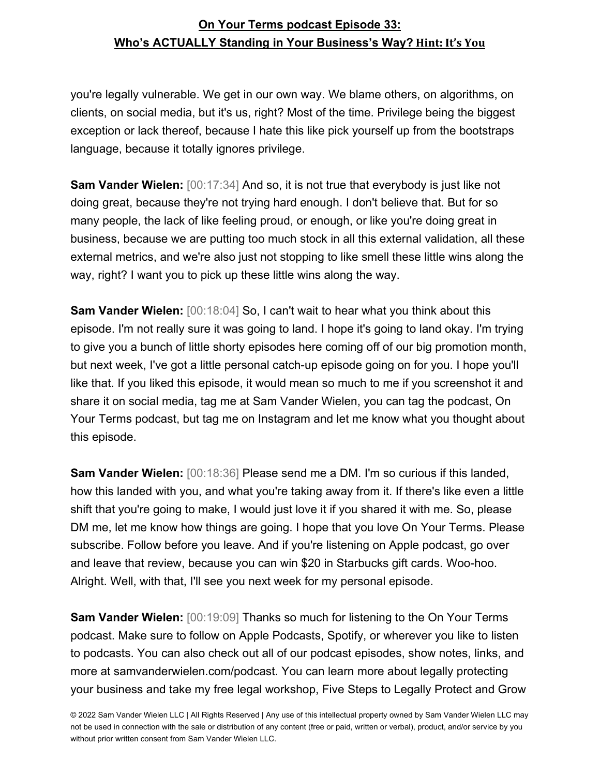you're legally vulnerable. We get in our own way. We blame others, on algorithms, on clients, on social media, but it's us, right? Most of the time. Privilege being the biggest exception or lack thereof, because I hate this like pick yourself up from the bootstraps language, because it totally ignores privilege.

**Sam Vander Wielen:** [00:17:34] And so, it is not true that everybody is just like not doing great, because they're not trying hard enough. I don't believe that. But for so many people, the lack of like feeling proud, or enough, or like you're doing great in business, because we are putting too much stock in all this external validation, all these external metrics, and we're also just not stopping to like smell these little wins along the way, right? I want you to pick up these little wins along the way.

**Sam Vander Wielen:** [00:18:04] So, I can't wait to hear what you think about this episode. I'm not really sure it was going to land. I hope it's going to land okay. I'm trying to give you a bunch of little shorty episodes here coming off of our big promotion month, but next week, I've got a little personal catch-up episode going on for you. I hope you'll like that. If you liked this episode, it would mean so much to me if you screenshot it and share it on social media, tag me at Sam Vander Wielen, you can tag the podcast, On Your Terms podcast, but tag me on Instagram and let me know what you thought about this episode.

**Sam Vander Wielen:** [00:18:36] Please send me a DM. I'm so curious if this landed, how this landed with you, and what you're taking away from it. If there's like even a little shift that you're going to make, I would just love it if you shared it with me. So, please DM me, let me know how things are going. I hope that you love On Your Terms. Please subscribe. Follow before you leave. And if you're listening on Apple podcast, go over and leave that review, because you can win \$20 in Starbucks gift cards. Woo-hoo. Alright. Well, with that, I'll see you next week for my personal episode.

**Sam Vander Wielen:** [00:19:09] Thanks so much for listening to the On Your Terms podcast. Make sure to follow on Apple Podcasts, Spotify, or wherever you like to listen to podcasts. You can also check out all of our podcast episodes, show notes, links, and more at samvanderwielen.com/podcast. You can learn more about legally protecting your business and take my free legal workshop, Five Steps to Legally Protect and Grow